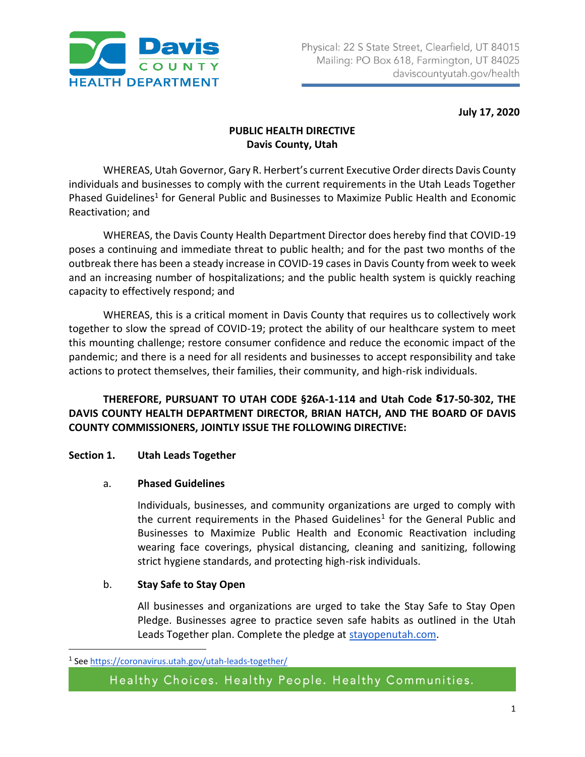

 **July 17, 2020**

# **PUBLIC HEALTH DIRECTIVE Davis County, Utah**

WHEREAS, Utah Governor, Gary R. Herbert's current Executive Order directs Davis County individuals and businesses to comply with the current requirements in the Utah Leads Together Phased Guidelines<sup>1</sup> for General Public and Businesses to Maximize Public Health and Economic Reactivation; and

WHEREAS, the Davis County Health Department Director does hereby find that COVID-19 poses a continuing and immediate threat to public health; and for the past two months of the outbreak there has been a steady increase in COVID-19 cases in Davis County from week to week and an increasing number of hospitalizations; and the public health system is quickly reaching capacity to effectively respond; and

WHEREAS, this is a critical moment in Davis County that requires us to collectively work together to slow the spread of COVID-19; protect the ability of our healthcare system to meet this mounting challenge; restore consumer confidence and reduce the economic impact of the pandemic; and there is a need for all residents and businesses to accept responsibility and take actions to protect themselves, their families, their community, and high-risk individuals.

**THEREFORE, PURSUANT TO UTAH CODE §26A-1-114 and Utah Code ⸹17-50-302, THE DAVIS COUNTY HEALTH DEPARTMENT DIRECTOR, BRIAN HATCH, AND THE BOARD OF DAVIS COUNTY COMMISSIONERS, JOINTLY ISSUE THE FOLLOWING DIRECTIVE:**

## **Section 1. Utah Leads Together**

## a. **Phased Guidelines**

Individuals, businesses, and community organizations are urged to comply with the current requirements in the Phased Guidelines<sup>1</sup> for the General Public and Businesses to Maximize Public Health and Economic Reactivation including wearing face coverings, physical distancing, cleaning and sanitizing, following strict hygiene standards, and protecting high-risk individuals.

## b. **Stay Safe to Stay Open**

All businesses and organizations are urged to take the Stay Safe to Stay Open Pledge. Businesses agree to practice seven safe habits as outlined in the Utah Leads Together plan. Complete the pledge at [stayopenutah.com.](http://stayopenutah.com/)

 $\overline{\phantom{a}}$ 

<sup>&</sup>lt;sup>1</sup> Se[e https://coronavirus.utah.gov/utah-leads-together/](https://coronavirus.utah.gov/utah-leads-together/)

Healthy Choices. Healthy People. Healthy Communities.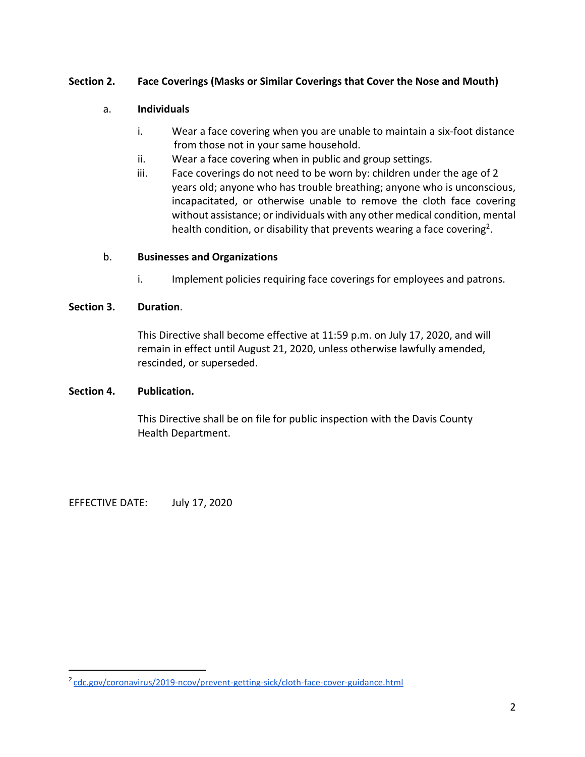## **Section 2. Face Coverings (Masks or Similar Coverings that Cover the Nose and Mouth)**

#### a. **Individuals**

- i. Wear a face covering when you are unable to maintain a six-foot distance from those not in your same household.
- ii. Wear a face covering when in public and group settings.
- iii. Face coverings do not need to be worn by: children under the age of 2 years old; anyone who has trouble breathing; anyone who is unconscious, incapacitated, or otherwise unable to remove the cloth face covering without assistance; or individuals with any other medical condition, mental health condition, or disability that prevents wearing a face covering<sup>2</sup>.

#### b. **Businesses and Organizations**

i. Implement policies requiring face coverings for employees and patrons.

#### **Section 3. Duration**.

This Directive shall become effective at 11:59 p.m. on July 17, 2020, and will remain in effect until August 21, 2020, unless otherwise lawfully amended, rescinded, or superseded.

#### **Section 4. Publication.**

This Directive shall be on file for public inspection with the Davis County Health Department.

EFFECTIVE DATE: July 17, 2020

 $\overline{\phantom{a}}$ 

<sup>&</sup>lt;sup>2</sup> [cdc.gov/coronavirus/2019-ncov/prevent-getting-sick/cloth-face-cover-guidance.html](https://www.cdc.gov/coronavirus/2019-ncov/prevent-getting-sick/cloth-face-cover-guidance.html)